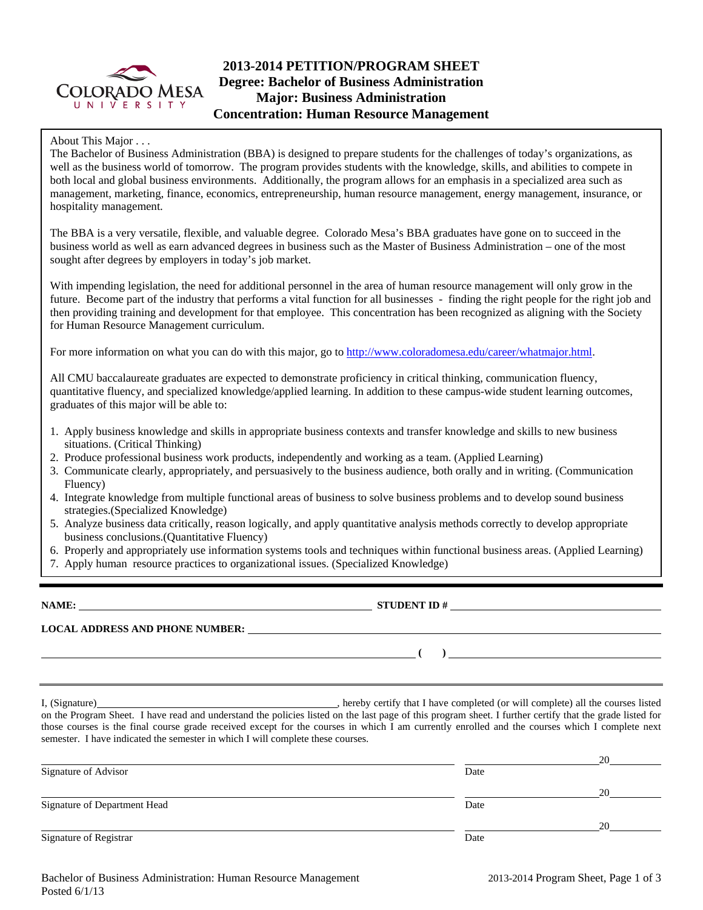

# **2013-2014 PETITION/PROGRAM SHEET Degree: Bachelor of Business Administration Major: Business Administration Concentration: Human Resource Management**

About This Major . . .

The Bachelor of Business Administration (BBA) is designed to prepare students for the challenges of today's organizations, as well as the business world of tomorrow. The program provides students with the knowledge, skills, and abilities to compete in both local and global business environments. Additionally, the program allows for an emphasis in a specialized area such as management, marketing, finance, economics, entrepreneurship, human resource management, energy management, insurance, or hospitality management.

The BBA is a very versatile, flexible, and valuable degree. Colorado Mesa's BBA graduates have gone on to succeed in the business world as well as earn advanced degrees in business such as the Master of Business Administration – one of the most sought after degrees by employers in today's job market.

With impending legislation, the need for additional personnel in the area of human resource management will only grow in the future. Become part of the industry that performs a vital function for all businesses - finding the right people for the right job and then providing training and development for that employee. This concentration has been recognized as aligning with the Society for Human Resource Management curriculum.

For more information on what you can do with this major, go to http://www.coloradomesa.edu/career/whatmajor.html.

All CMU baccalaureate graduates are expected to demonstrate proficiency in critical thinking, communication fluency, quantitative fluency, and specialized knowledge/applied learning. In addition to these campus-wide student learning outcomes, graduates of this major will be able to:

- 1. Apply business knowledge and skills in appropriate business contexts and transfer knowledge and skills to new business situations. (Critical Thinking)
- 2. Produce professional business work products, independently and working as a team. (Applied Learning)
- 3. Communicate clearly, appropriately, and persuasively to the business audience, both orally and in writing. (Communication Fluency)
- 4. Integrate knowledge from multiple functional areas of business to solve business problems and to develop sound business strategies.(Specialized Knowledge)
- 5. Analyze business data critically, reason logically, and apply quantitative analysis methods correctly to develop appropriate business conclusions.(Quantitative Fluency)
- 6. Properly and appropriately use information systems tools and techniques within functional business areas. (Applied Learning)
- 7. Apply human resource practices to organizational issues. (Specialized Knowledge)

**NAME: STUDENT ID # LOCAL ADDRESS AND PHONE NUMBER: ( )** 

I, (Signature) , hereby certify that I have completed (or will complete) all the courses listed on the Program Sheet. I have read and understand the policies listed on the last page of this program sheet. I further certify that the grade listed for those courses is the final course grade received except for the courses in which I am currently enrolled and the courses which I complete next semester. I have indicated the semester in which I will complete these courses.

|                              |      | 20 |
|------------------------------|------|----|
| Signature of Advisor         | Date |    |
|                              |      | 20 |
| Signature of Department Head | Date |    |
|                              |      | 20 |
| Signature of Registrar       | Date |    |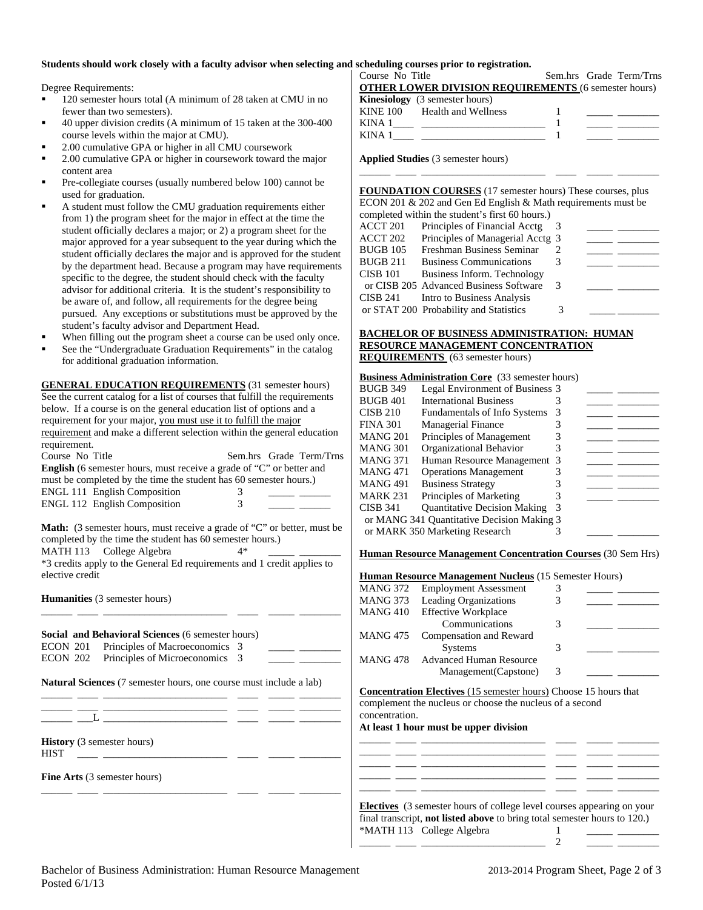#### **Students should work closely with a faculty advisor when selecting and scheduling courses prior to registration.**

Degree Requirements:

- 120 semester hours total (A minimum of 28 taken at CMU in no fewer than two semesters).
- 40 upper division credits (A minimum of 15 taken at the 300-400 course levels within the major at CMU).
- 2.00 cumulative GPA or higher in all CMU coursework
- 2.00 cumulative GPA or higher in coursework toward the major content area
- Pre-collegiate courses (usually numbered below 100) cannot be used for graduation.
- A student must follow the CMU graduation requirements either from 1) the program sheet for the major in effect at the time the student officially declares a major; or 2) a program sheet for the major approved for a year subsequent to the year during which the student officially declares the major and is approved for the student by the department head. Because a program may have requirements specific to the degree, the student should check with the faculty advisor for additional criteria. It is the student's responsibility to be aware of, and follow, all requirements for the degree being pursued. Any exceptions or substitutions must be approved by the student's faculty advisor and Department Head.
- When filling out the program sheet a course can be used only once.
- See the "Undergraduate Graduation Requirements" in the catalog for additional graduation information.

**GENERAL EDUCATION REQUIREMENTS** (31 semester hours) See the current catalog for a list of courses that fulfill the requirements below. If a course is on the general education list of options and a requirement for your major, you must use it to fulfill the major requirement and make a different selection within the general education requirement.

| Course No Title                                                                |    | Sem.hrs Grade Term/Trns |
|--------------------------------------------------------------------------------|----|-------------------------|
| <b>English</b> (6 semester hours, must receive a grade of "C" or better and    |    |                         |
| must be completed by the time the student has 60 semester hours.)              |    |                         |
| <b>ENGL 111 English Composition</b>                                            |    |                         |
| <b>ENGL 112 English Composition</b>                                            | 3  |                         |
| <b>Math:</b> (3 semester hours, must receive a grade of "C" or better, must be |    |                         |
| completed by the time the student has 60 semester hours.)                      |    |                         |
| MATH 113 College Algebra                                                       | 4* |                         |

\*3 credits apply to the General Ed requirements and 1 credit applies to elective credit

\_\_\_\_\_\_ \_\_\_\_ \_\_\_\_\_\_\_\_\_\_\_\_\_\_\_\_\_\_\_\_\_\_\_\_ \_\_\_\_ \_\_\_\_\_ \_\_\_\_\_\_\_\_

**Humanities** (3 semester hours)

|                                                                           |  | Social and Behavioral Sciences (6 semester hours)<br>ECON 201 Principles of Macroeconomics 3<br>ECON 202 Principles of Microeconomics 3 |  |  |  |
|---------------------------------------------------------------------------|--|-----------------------------------------------------------------------------------------------------------------------------------------|--|--|--|
| <b>Natural Sciences</b> (7 semester hours, one course must include a lab) |  |                                                                                                                                         |  |  |  |

\_\_\_\_\_\_ \_\_\_\_ \_\_\_\_\_\_\_\_\_\_\_\_\_\_\_\_\_\_\_\_\_\_\_\_ \_\_\_\_ \_\_\_\_\_ \_\_\_\_\_\_\_\_ \_\_\_\_\_\_ \_\_\_\_ \_\_\_\_\_\_\_\_\_\_\_\_\_\_\_\_\_\_\_\_\_\_\_\_ \_\_\_\_ \_\_\_\_\_ \_\_\_\_\_\_\_\_

\_\_\_\_\_\_ \_\_\_\_ \_\_\_\_\_\_\_\_\_\_\_\_\_\_\_\_\_\_\_\_\_\_\_\_ \_\_\_\_ \_\_\_\_\_ \_\_\_\_\_\_\_\_

**History** (3 semester hours)  $HIST \quad \_\_\_\_\_\_\_$ 

**Fine Arts** (3 semester hours)

| Course No Title                                             |  | Sem.hrs Grade Term/Trns |
|-------------------------------------------------------------|--|-------------------------|
| <b>OTHER LOWER DIVISION REQUIREMENTS (6 semester hours)</b> |  |                         |
| <b>Kinesiology</b> (3 semester hours)                       |  |                         |
| KINE 100 Health and Wellness                                |  |                         |
|                                                             |  |                         |
|                                                             |  |                         |

**Applied Studies** (3 semester hours)

**FOUNDATION COURSES** (17 semester hours) These courses, plus ECON 201 & 202 and Gen Ed English & Math requirements must be completed within the student's first 60 hours.)  $\triangle$  CCT 201 Principles of Financial  $\triangle$  ceta

\_\_\_\_\_\_ \_\_\_\_ \_\_\_\_\_\_\_\_\_\_\_\_\_\_\_\_\_\_\_\_\_\_\_\_ \_\_\_\_ \_\_\_\_\_ \_\_\_\_\_\_\_\_

| ACC 1-201 | THIRTPICS OF FINANCIAL ACCE            |               |  |
|-----------|----------------------------------------|---------------|--|
| ACCT 202  | Principles of Managerial Acctg 3       |               |  |
| BUGB 105  | Freshman Business Seminar              |               |  |
| BUGB 211  | <b>Business Communications</b>         |               |  |
| CISB 101  | Business Inform. Technology            |               |  |
|           | or CISB 205 Advanced Business Software | $\mathcal{R}$ |  |
|           | CISB 241 Intro to Business Analysis    |               |  |
|           | or STAT 200 Probability and Statistics | 3             |  |

### **BACHELOR OF BUSINESS ADMINISTRATION: HUMAN RESOURCE MANAGEMENT CONCENTRATION REQUIREMENTS** (63 semester hours)

#### **Business Administration Core** (33 semester hours)

| BUGB 349 | Legal Environment of Business 3            |  |  |
|----------|--------------------------------------------|--|--|
| BUGB 401 | <b>International Business</b>              |  |  |
| CISB 210 | Fundamentals of Info Systems               |  |  |
| FINA 301 | <b>Managerial Finance</b>                  |  |  |
| MANG 201 | Principles of Management                   |  |  |
| MANG 301 | Organizational Behavior                    |  |  |
| MANG 371 | Human Resource Management 3                |  |  |
| MANG 471 | <b>Operations Management</b>               |  |  |
| MANG 491 | <b>Business Strategy</b>                   |  |  |
| MARK 231 | Principles of Marketing                    |  |  |
| CISB 341 | <b>Quantitative Decision Making</b>        |  |  |
|          | or MANG 341 Quantitative Decision Making 3 |  |  |
|          | or MARK 350 Marketing Research             |  |  |

**Human Resource Management Concentration Courses** (30 Sem Hrs)

| <b>Human Resource Management Nucleus (15 Semester Hours)</b> |                                |   |  |  |
|--------------------------------------------------------------|--------------------------------|---|--|--|
| <b>MANG 372</b>                                              | <b>Employment Assessment</b>   | 3 |  |  |
| <b>MANG 373</b>                                              | <b>Leading Organizations</b>   |   |  |  |
| <b>MANG 410</b>                                              | <b>Effective Workplace</b>     |   |  |  |
|                                                              | Communications                 | 3 |  |  |
| <b>MANG 475</b>                                              | Compensation and Reward        |   |  |  |
|                                                              | <b>Systems</b>                 | 3 |  |  |
| <b>MANG 478</b>                                              | <b>Advanced Human Resource</b> |   |  |  |
|                                                              | Management (Capstone)          | 3 |  |  |
|                                                              |                                |   |  |  |

**Concentration Electives** (15 semester hours) Choose 15 hours that complement the nucleus or choose the nucleus of a second concentration.

**At least 1 hour must be upper division** 

|                           | <b>Electives</b> (3 semester hours of college level courses appearing on your<br>final transcript, <b>not listed above</b> to bring total semester hours to 120.) |  |
|---------------------------|-------------------------------------------------------------------------------------------------------------------------------------------------------------------|--|
| *MATH 113 College Algebra |                                                                                                                                                                   |  |

\_\_\_\_\_\_ \_\_\_\_ \_\_\_\_\_\_\_\_\_\_\_\_\_\_\_\_\_\_\_\_\_\_\_\_ 2 \_\_\_\_\_ \_\_\_\_\_\_\_\_

\_\_\_\_\_\_ \_\_\_\_ \_\_\_\_\_\_\_\_\_\_\_\_\_\_\_\_\_\_\_\_\_\_\_\_ \_\_\_\_ \_\_\_\_\_ \_\_\_\_\_\_\_\_ \_\_\_\_\_\_ \_\_\_\_ \_\_\_\_\_\_\_\_\_\_\_\_\_\_\_\_\_\_\_\_\_\_\_\_ \_\_\_\_ \_\_\_\_\_ \_\_\_\_\_\_\_\_ \_\_\_\_\_\_ \_\_\_\_ \_\_\_\_\_\_\_\_\_\_\_\_\_\_\_\_\_\_\_\_\_\_\_\_ \_\_\_\_ \_\_\_\_\_ \_\_\_\_\_\_\_\_ \_\_\_\_\_\_ \_\_\_\_ \_\_\_\_\_\_\_\_\_\_\_\_\_\_\_\_\_\_\_\_\_\_\_\_ \_\_\_\_ \_\_\_\_\_ \_\_\_\_\_\_\_\_ \_\_\_\_\_\_ \_\_\_\_ \_\_\_\_\_\_\_\_\_\_\_\_\_\_\_\_\_\_\_\_\_\_\_\_ \_\_\_\_ \_\_\_\_\_ \_\_\_\_\_\_\_\_